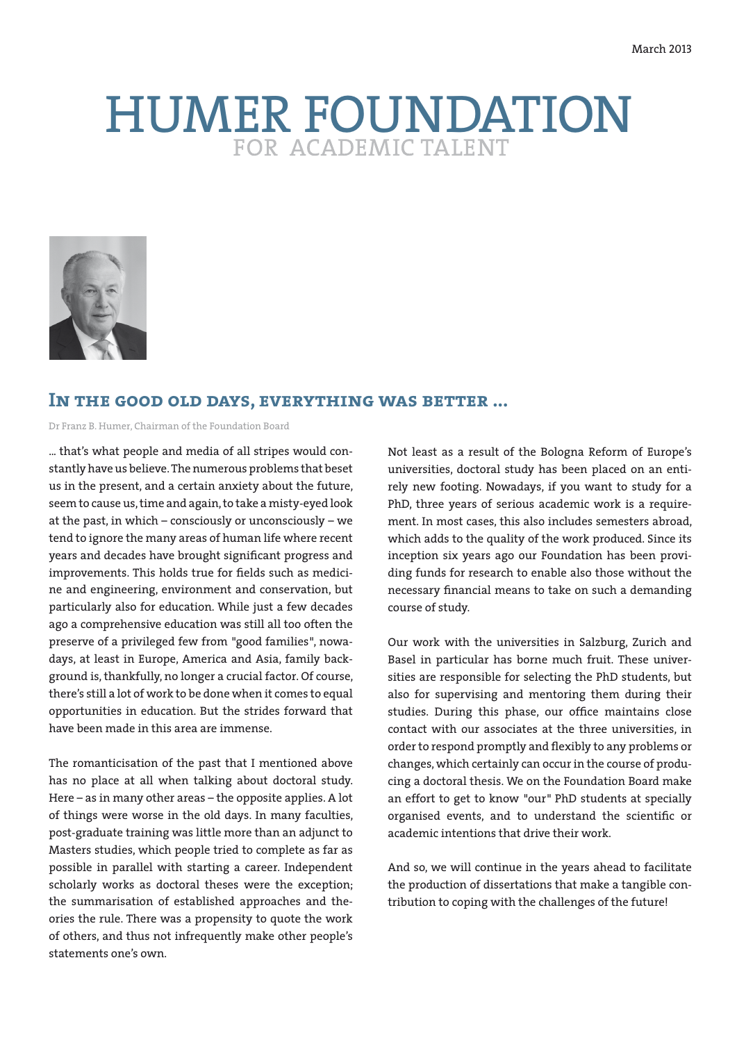# HUMER FOUNDATION



# **In the good old days, everything was better ...**

Dr Franz B. Humer, Chairman of the Foundation Board

... that's what people and media of all stripes would constantly have us believe. The numerous problems that beset us in the present, and a certain anxiety about the future, seem to cause us, time and again, to take a misty-eyed look at the past, in which – consciously or unconsciously – we tend to ignore the many areas of human life where recent years and decades have brought significant progress and improvements. This holds true for fields such as medicine and engineering, environment and conservation, but particularly also for education. While just a few decades ago a comprehensive education was still all too often the preserve of a privileged few from "good families", nowadays, at least in Europe, America and Asia, family background is, thankfully, no longer a crucial factor. Of course, there's still a lot of work to be done when it comes to equal opportunities in education. But the strides forward that have been made in this area are immense.

The romanticisation of the past that I mentioned above has no place at all when talking about doctoral study. Here – as in many other areas – the opposite applies. A lot of things were worse in the old days. In many faculties, post-graduate training was little more than an adjunct to Masters studies, which people tried to complete as far as possible in parallel with starting a career. Independent scholarly works as doctoral theses were the exception; the summarisation of established approaches and theories the rule. There was a propensity to quote the work of others, and thus not infrequently make other people's statements one's own.

Not least as a result of the Bologna Reform of Europe's universities, doctoral study has been placed on an entirely new footing. Nowadays, if you want to study for a PhD, three years of serious academic work is a requirement. In most cases, this also includes semesters abroad, which adds to the quality of the work produced. Since its inception six years ago our Foundation has been providing funds for research to enable also those without the necessary financial means to take on such a demanding course of study.

Our work with the universities in Salzburg, Zurich and Basel in particular has borne much fruit. These universities are responsible for selecting the PhD students, but also for supervising and mentoring them during their studies. During this phase, our office maintains close contact with our associates at the three universities, in order to respond promptly and flexibly to any problems or changes, which certainly can occur in the course of producing a doctoral thesis. We on the Foundation Board make an effort to get to know "our" PhD students at specially organised events, and to understand the scientific or academic intentions that drive their work.

And so, we will continue in the years ahead to facilitate the production of dissertations that make a tangible contribution to coping with the challenges of the future!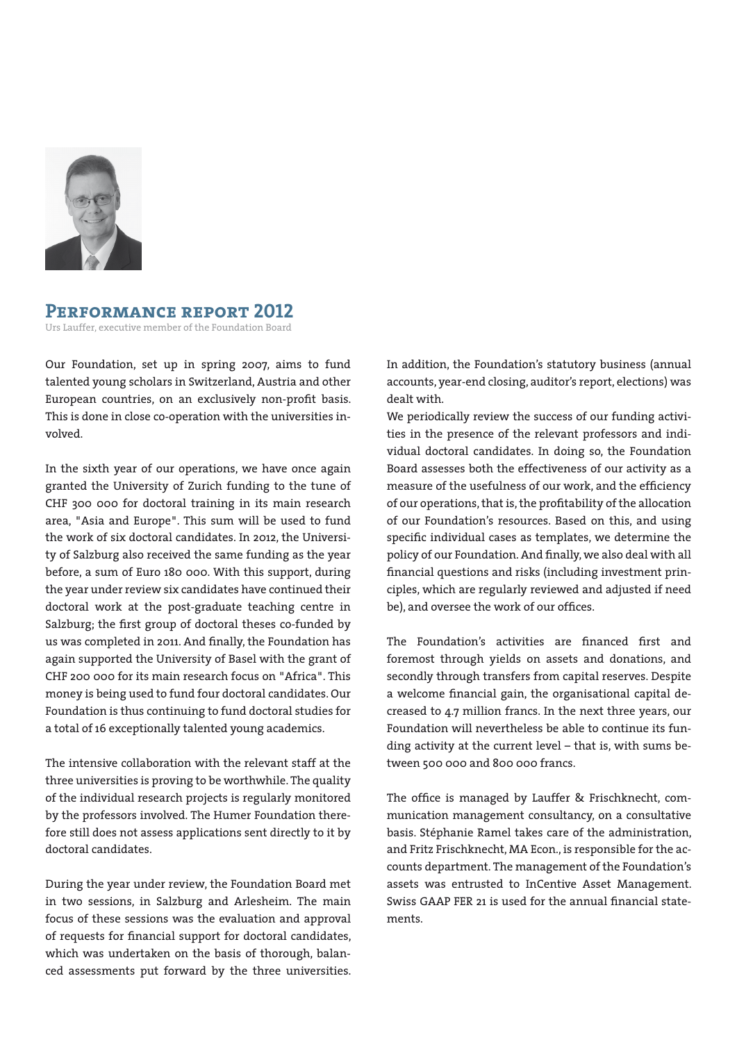

### **Performance report 2012**

Urs Lauffer, executive member of the Foundation Board

Our Foundation, set up in spring 2007, aims to fund talented young scholars in Switzerland, Austria and other European countries, on an exclusively non-profit basis. This is done in close co-operation with the universities involved.

In the sixth year of our operations, we have once again granted the University of Zurich funding to the tune of CHF 300 000 for doctoral training in its main research area, "Asia and Europe". This sum will be used to fund the work of six doctoral candidates. In 2012, the University of Salzburg also received the same funding as the year before, a sum of Euro 180 000. With this support, during the year under review six candidates have continued their doctoral work at the post-graduate teaching centre in Salzburg; the first group of doctoral theses co-funded by us was completed in 2011. And finally, the Foundation has again supported the University of Basel with the grant of CHF 200 000 for its main research focus on "Africa". This money is being used to fund four doctoral candidates. Our Foundation is thus continuing to fund doctoral studies for a total of 16 exceptionally talented young academics.

The intensive collaboration with the relevant staff at the three universities is proving to be worthwhile. The quality of the individual research projects is regularly monitored by the professors involved. The Humer Foundation therefore still does not assess applications sent directly to it by doctoral candidates.

During the year under review, the Foundation Board met in two sessions, in Salzburg and Arlesheim. The main focus of these sessions was the evaluation and approval of requests for financial support for doctoral candidates, which was undertaken on the basis of thorough, balanced assessments put forward by the three universities. In addition, the Foundation's statutory business (annual accounts, year-end closing, auditor's report, elections) was dealt with.

We periodically review the success of our funding activities in the presence of the relevant professors and individual doctoral candidates. In doing so, the Foundation Board assesses both the effectiveness of our activity as a measure of the usefulness of our work, and the efficiency of our operations, that is, the profitability of the allocation of our Foundation's resources. Based on this, and using specific individual cases as templates, we determine the policy of our Foundation. And finally, we also deal with all financial questions and risks (including investment principles, which are regularly reviewed and adjusted if need be), and oversee the work of our offices.

The Foundation's activities are financed first and foremost through yields on assets and donations, and secondly through transfers from capital reserves. Despite a welcome financial gain, the organisational capital decreased to 4.7 million francs. In the next three years, our Foundation will nevertheless be able to continue its funding activity at the current level – that is, with sums between 500 000 and 800 000 francs.

The office is managed by Lauffer & Frischknecht, communication management consultancy, on a consultative basis. Stéphanie Ramel takes care of the administration, and Fritz Frischknecht, MA Econ., is responsible for the accounts department. The management of the Foundation's assets was entrusted to InCentive Asset Management. Swiss GAAP FER 21 is used for the annual financial statements.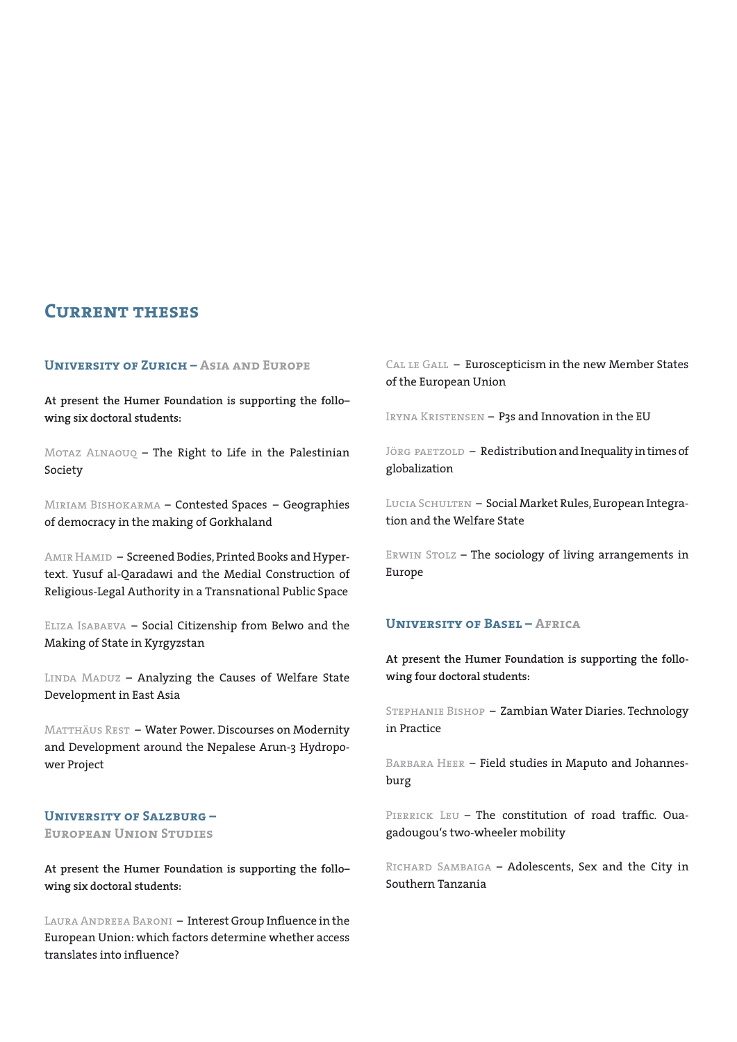# **Current theses**

#### **University of Zurich – Asia and Europe**

**At present the Humer Foundation is supporting the follo– wing six doctoral students:**

Motaz Alnaouq – The Right to Life in the Palestinian Society

Miriam Bishokarma – Contested Spaces – Geographies of democracy in the making of Gorkhaland

AMIR HAMID – Screened Bodies, Printed Books and Hypertext. Yusuf al-Qaradawi and the Medial Construction of Religious-Legal Authority in a Transnational Public Space

Eliza Isabaeva – Social Citizenship from Belwo and the Making of State in Kyrgyzstan

LINDA MADUZ - Analyzing the Causes of Welfare State Development in East Asia

MATTHÄUS REST - Water Power. Discourses on Modernity and Development around the Nepalese Arun-3 Hydropower Project

#### **University of Salzburg –**

#### **European Union Studies**

**At present the Humer Foundation is supporting the follo– wing six doctoral students:**

LAURA ANDREEA BARONI - Interest Group Influence in the European Union: which factors determine whether access translates into influence?

CAL LE GALL - Euroscepticism in the new Member States of the European Union

IRYNA KRISTENSEN - P3s and Innovation in the EU

JÖRG PAETZOLD - Redistribution and Inequality in times of globalization

LUCIA SCHULTEN - Social Market Rules, European Integration and the Welfare State

ERWIN STOLZ - The sociology of living arrangements in Europe

#### **University of Basel – Africa**

**At present the Humer Foundation is supporting the following four doctoral students:**

Stephanie Bishop – Zambian Water Diaries. Technology in Practice

BARBARA HEER - Field studies in Maputo and Johannesburg

PIERRICK LEU - The constitution of road traffic. Ouagadougou's two-wheeler mobility

Richard Sambaiga – Adolescents, Sex and the City in Southern Tanzania